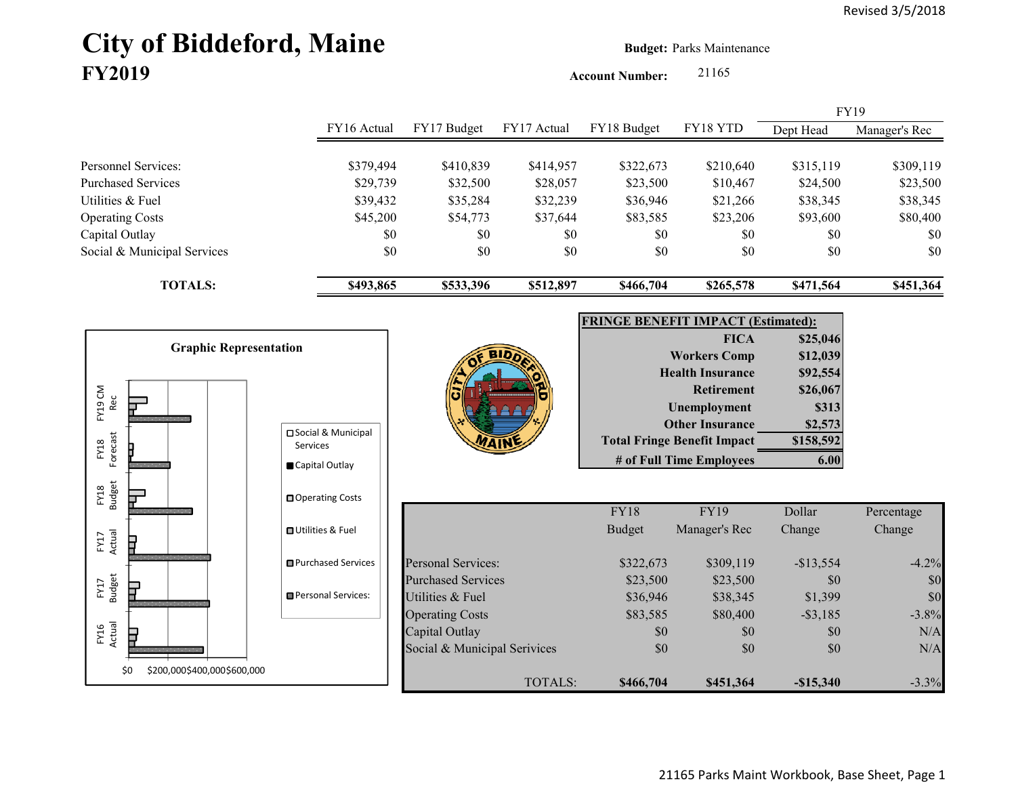# **City of Biddeford, Maine Budget:** Parks Maintenance **FY2019**

**Account Number:** 21165

|                             |             |             |             |             |           |           | <b>FY19</b>   |
|-----------------------------|-------------|-------------|-------------|-------------|-----------|-----------|---------------|
|                             | FY16 Actual | FY17 Budget | FY17 Actual | FY18 Budget | FY18 YTD  | Dept Head | Manager's Rec |
|                             |             |             |             |             |           |           |               |
| Personnel Services:         | \$379,494   | \$410,839   | \$414,957   | \$322,673   | \$210,640 | \$315,119 | \$309,119     |
| <b>Purchased Services</b>   | \$29,739    | \$32,500    | \$28,057    | \$23,500    | \$10,467  | \$24,500  | \$23,500      |
| Utilities & Fuel            | \$39,432    | \$35,284    | \$32,239    | \$36,946    | \$21,266  | \$38,345  | \$38,345      |
| <b>Operating Costs</b>      | \$45,200    | \$54,773    | \$37,644    | \$83,585    | \$23,206  | \$93,600  | \$80,400      |
| Capital Outlay              | \$0         | \$0         | \$0         | \$0         | \$0       | \$0       | \$0           |
| Social & Municipal Services | \$0         | \$0         | \$0         | \$0         | \$0       | \$0       | \$0           |
| <b>TOTALS:</b>              | \$493,865   | \$533,396   | \$512,897   | \$466,704   | \$265,578 | \$471,564 | \$451,364     |

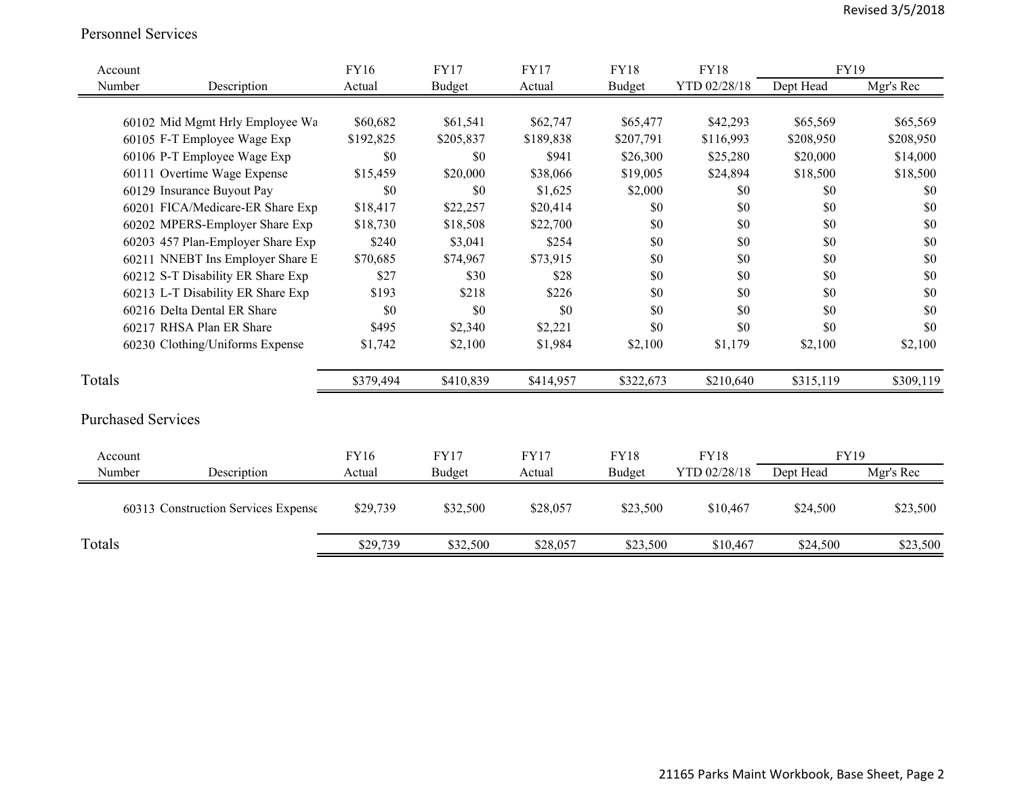#### Personnel Services

| Account                             | <b>FY16</b> | <b>FY17</b> | <b>FY17</b> | <b>FY18</b>   | <b>FY18</b>  | <b>FY19</b> |           |
|-------------------------------------|-------------|-------------|-------------|---------------|--------------|-------------|-----------|
| Number<br>Description               | Actual      | Budget      | Actual      | <b>Budget</b> | YTD 02/28/18 | Dept Head   | Mgr's Rec |
|                                     |             |             |             |               |              |             |           |
| 60102 Mid Mgmt Hrly Employee Wa     | \$60,682    | \$61,541    | \$62,747    | \$65,477      | \$42,293     | \$65,569    | \$65,569  |
| 60105 F-T Employee Wage Exp         | \$192,825   | \$205,837   | \$189,838   | \$207,791     | \$116,993    | \$208,950   | \$208,950 |
| 60106 P-T Employee Wage Exp         | \$0         | \$0         | \$941       | \$26,300      | \$25,280     | \$20,000    | \$14,000  |
| 60111 Overtime Wage Expense         | \$15,459    | \$20,000    | \$38,066    | \$19,005      | \$24,894     | \$18,500    | \$18,500  |
| 60129 Insurance Buyout Pay          | \$0         | \$0         | \$1,625     | \$2,000       | \$0          | \$0         | \$0       |
| 60201 FICA/Medicare-ER Share Exp    | \$18,417    | \$22,257    | \$20,414    | \$0           | \$0          | \$0         | \$0       |
| 60202 MPERS-Employer Share Exp      | \$18,730    | \$18,508    | \$22,700    | \$0           | \$0          | \$0         | \$0       |
| 60203 457 Plan-Employer Share Exp   | \$240       | \$3,041     | \$254       | \$0           | \$0          | \$0         | \$0       |
| 60211 NNEBT Ins Employer Share E    | \$70,685    | \$74,967    | \$73,915    | \$0           | \$0          | \$0         | \$0       |
| 60212 S-T Disability ER Share Exp   | \$27        | \$30        | \$28        | \$0           | \$0          | \$0         | \$0       |
| 60213 L-T Disability ER Share Exp   | \$193       | \$218       | \$226       | \$0           | \$0          | \$0         | \$0       |
| 60216 Delta Dental ER Share         | \$0         | \$0         | \$0         | \$0           | \$0          | \$0         | \$0       |
| 60217 RHSA Plan ER Share            | \$495       | \$2,340     | \$2,221     | \$0           | \$0          | \$0         | \$0       |
| 60230 Clothing/Uniforms Expense     | \$1,742     | \$2,100     | \$1,984     | \$2,100       | \$1,179      | \$2,100     | \$2,100   |
| Totals                              | \$379,494   | \$410,839   | \$414,957   | \$322,673     | \$210,640    | \$315,119   | \$309,119 |
| <b>Purchased Services</b>           |             |             |             |               |              |             |           |
| Account                             | <b>FY16</b> | <b>FY17</b> | <b>FY17</b> | <b>FY18</b>   | <b>FY18</b>  | FY19        |           |
| Description<br>Number               | Actual      | Budget      | Actual      | Budget        | YTD 02/28/18 | Dept Head   | Mgr's Rec |
| 60313 Construction Services Expense | \$29,739    | \$32,500    | \$28,057    | \$23,500      | \$10,467     | \$24,500    | \$23,500  |
| Totals                              | \$29,739    | \$32,500    | \$28,057    | \$23,500      | \$10,467     | \$24,500    | \$23,500  |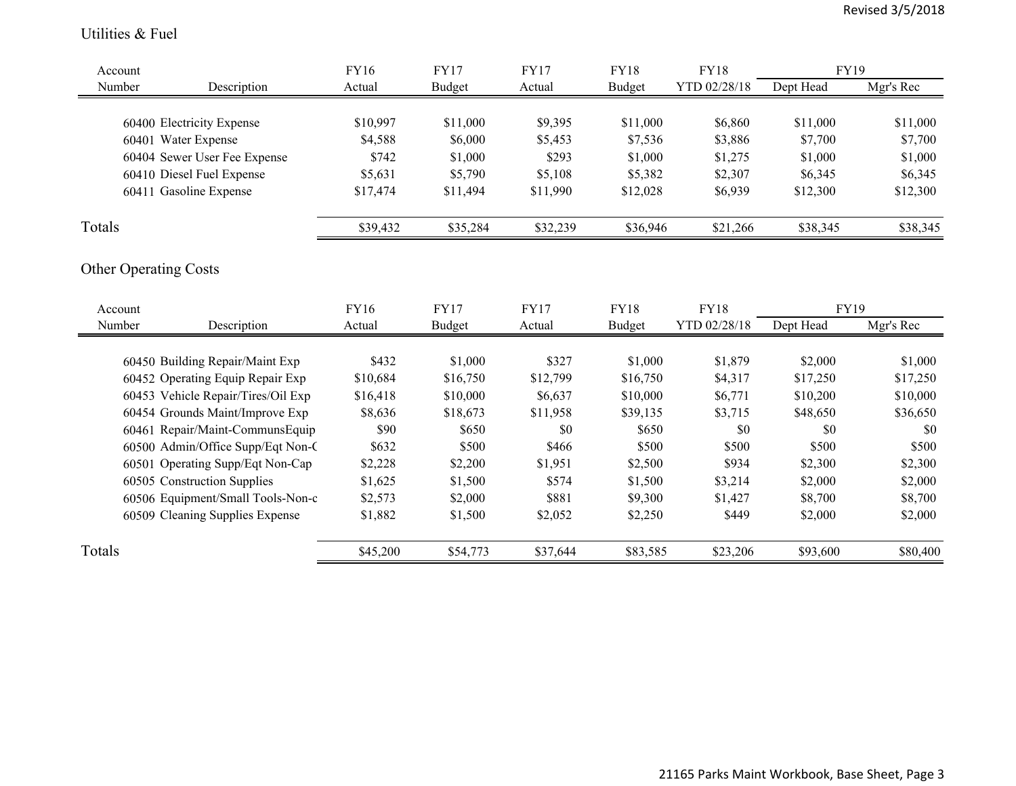#### Utilities & Fuel

| Account |                                    | FY16        | <b>FY17</b>   | <b>FY17</b> | <b>FY18</b>   | <b>FY18</b>  | FY19        |           |
|---------|------------------------------------|-------------|---------------|-------------|---------------|--------------|-------------|-----------|
| Number  | Description                        | Actual      | <b>Budget</b> | Actual      | <b>Budget</b> | YTD 02/28/18 | Dept Head   | Mgr's Rec |
|         |                                    |             |               |             |               |              |             |           |
|         | 60400 Electricity Expense          | \$10,997    | \$11,000      | \$9,395     | \$11,000      | \$6,860      | \$11,000    | \$11,000  |
|         | 60401 Water Expense                | \$4,588     | \$6,000       | \$5,453     | \$7,536       | \$3,886      | \$7,700     | \$7,700   |
|         | 60404 Sewer User Fee Expense       | \$742       | \$1,000       | \$293       | \$1,000       | \$1,275      | \$1,000     | \$1,000   |
|         | 60410 Diesel Fuel Expense          | \$5,631     | \$5,790       | \$5,108     | \$5,382       | \$2,307      | \$6,345     | \$6,345   |
|         | 60411 Gasoline Expense             | \$17,474    | \$11,494      | \$11,990    | \$12,028      | \$6,939      | \$12,300    | \$12,300  |
| Totals  |                                    | \$39,432    | \$35,284      | \$32,239    | \$36,946      | \$21,266     | \$38,345    | \$38,345  |
|         | <b>Other Operating Costs</b>       |             |               |             |               |              |             |           |
| Account |                                    | <b>FY16</b> | <b>FY17</b>   | <b>FY17</b> | <b>FY18</b>   | <b>FY18</b>  | <b>FY19</b> |           |
| Number  | Description                        | Actual      | Budget        | Actual      | <b>Budget</b> | YTD 02/28/18 | Dept Head   | Mgr's Rec |
|         | 60450 Building Repair/Maint Exp    | \$432       | \$1,000       | \$327       | \$1,000       | \$1,879      | \$2,000     | \$1,000   |
|         | 60452 Operating Equip Repair Exp   | \$10,684    | \$16,750      | \$12,799    | \$16,750      | \$4,317      | \$17,250    | \$17,250  |
|         | 60453 Vehicle Repair/Tires/Oil Exp | \$16,418    | \$10,000      | \$6,637     | \$10,000      | \$6,771      | \$10,200    | \$10,000  |
|         | 60454 Grounds Maint/Improve Exp    | \$8,636     | \$18,673      | \$11,958    | \$39,135      | \$3,715      | \$48,650    | \$36,650  |
|         | 60461 Repair/Maint-CommunsEquip    | \$90        | \$650         | \$0         | \$650         | \$0          | \$0         | \$0       |
|         | 60500 Admin/Office Supp/Eqt Non-C  | \$632       | \$500         | \$466       | \$500         | \$500        | \$500       | \$500     |
|         |                                    |             |               |             |               | \$934        |             |           |
|         | 60501 Operating Supp/Eqt Non-Cap   | \$2,228     | \$2,200       | \$1,951     | \$2,500       |              | \$2,300     | \$2,300   |
|         | 60505 Construction Supplies        | \$1,625     | \$1,500       | \$574       | \$1,500       | \$3,214      | \$2,000     | \$2,000   |
|         | 60506 Equipment/Small Tools-Non-c  | \$2,573     | \$2,000       | \$881       | \$9,300       | \$1,427      | \$8,700     | \$8,700   |
|         | 60509 Cleaning Supplies Expense    | \$1,882     | \$1,500       | \$2,052     | \$2,250       | \$449        | \$2,000     | \$2,000   |
| Totals  |                                    | \$45,200    | \$54,773      | \$37,644    | \$83,585      | \$23,206     | \$93,600    | \$80,400  |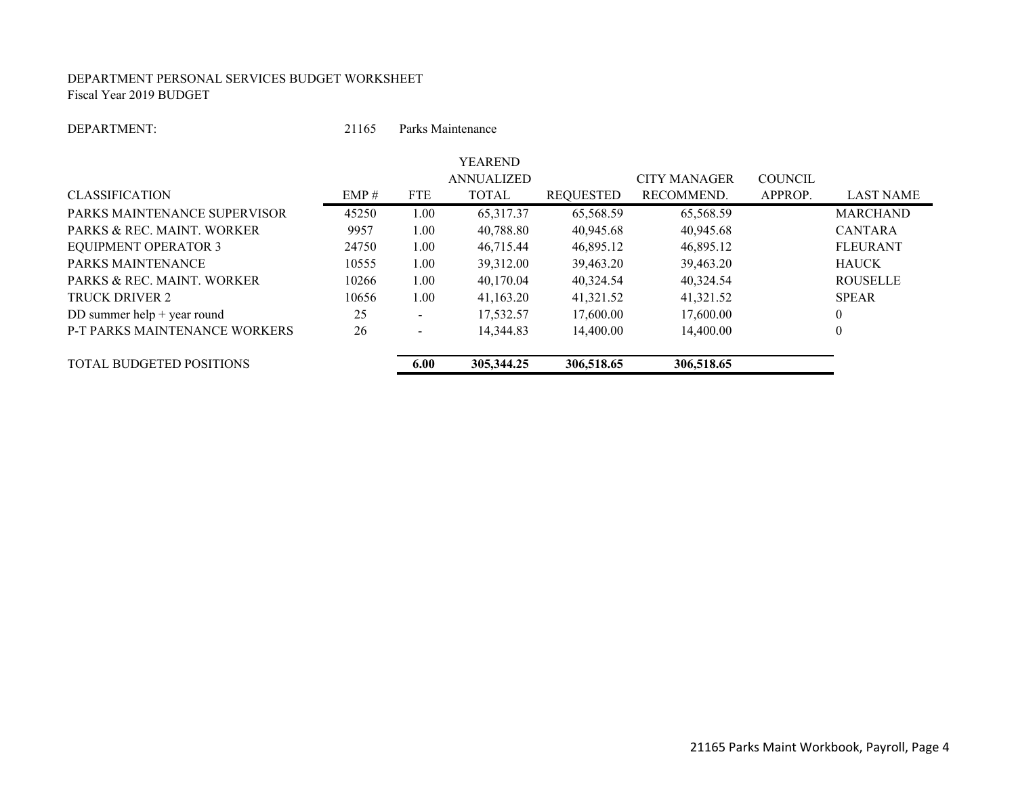#### DEPARTMENT PERSONAL SERVICES BUDGET WORKSHEET Fiscal Year 2019 BUDGET

#### DEPARTMENT:

21165 Parks Maintenance

|                                      |       |                          | <b>YEAREND</b>    |                  |                     |                |                  |
|--------------------------------------|-------|--------------------------|-------------------|------------------|---------------------|----------------|------------------|
|                                      |       |                          | <b>ANNUALIZED</b> |                  | <b>CITY MANAGER</b> | <b>COUNCIL</b> |                  |
| <b>CLASSIFICATION</b>                | EMP#  | <b>FTE</b>               | <b>TOTAL</b>      | <b>REQUESTED</b> | RECOMMEND.          | APPROP.        | <b>LAST NAME</b> |
| PARKS MAINTENANCE SUPERVISOR         | 45250 | 1.00                     | 65,317.37         | 65.568.59        | 65,568.59           |                | <b>MARCHAND</b>  |
| PARKS & REC. MAINT. WORKER           | 9957  | 1.00                     | 40.788.80         | 40,945.68        | 40,945.68           |                | <b>CANTARA</b>   |
| <b>EQUIPMENT OPERATOR 3</b>          | 24750 | 1.00                     | 46.715.44         | 46.895.12        | 46,895.12           |                | <b>FLEURANT</b>  |
| <b>PARKS MAINTENANCE</b>             | 10555 | 1.00                     | 39.312.00         | 39.463.20        | 39,463.20           |                | <b>HAUCK</b>     |
| PARKS & REC. MAINT. WORKER           | 10266 | 1.00                     | 40.170.04         | 40.324.54        | 40.324.54           |                | <b>ROUSELLE</b>  |
| TRUCK DRIVER 2                       | 10656 | 1.00                     | 41.163.20         | 41.321.52        | 41,321.52           |                | <b>SPEAR</b>     |
| DD summer help $+$ year round        | 25    | $\overline{\phantom{a}}$ | 17,532.57         | 17,600.00        | 17,600.00           |                | 0                |
| <b>P-T PARKS MAINTENANCE WORKERS</b> | 26    | $\overline{\phantom{a}}$ | 14,344.83         | 14,400.00        | 14,400.00           |                | $\boldsymbol{0}$ |
| <b>TOTAL BUDGETED POSITIONS</b>      |       | 6.00                     | 305, 344.25       | 306,518.65       | 306,518.65          |                |                  |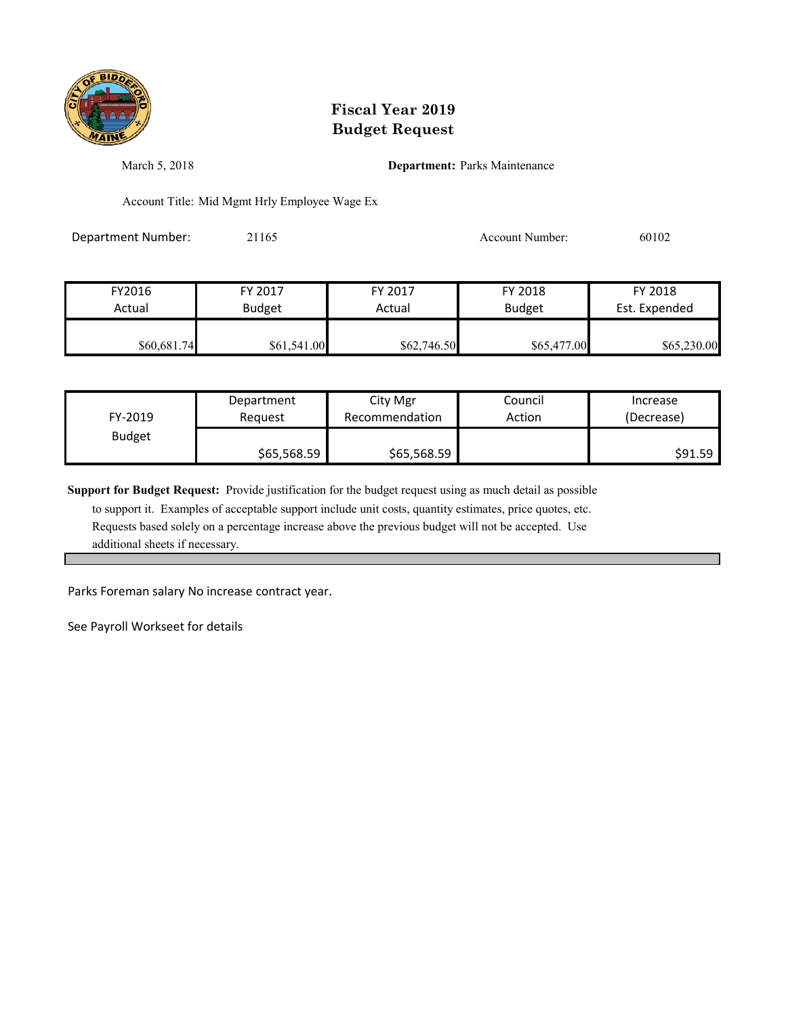

March 5, 2018 **Department:** Parks Maintenance

Account Title: Mid Mgmt Hrly Employee Wage Ex

Department Number: 21165 21165 Account Number: 60102

| FY2016      | FY 2017       | FY 2017     | FY 2018       | FY 2018       |
|-------------|---------------|-------------|---------------|---------------|
| Actual      | <b>Budget</b> | Actual      | <b>Budget</b> | Est. Expended |
| \$60,681.74 | \$61,541.00   | \$62,746.50 | \$65,477.00   | \$65,230.00   |

| FY-2019       | Department  | City Mgr       | Council | Increase   |
|---------------|-------------|----------------|---------|------------|
|               | Reauest     | Recommendation | Action  | (Decrease) |
| <b>Budget</b> | \$65,568.59 | \$65,568.59    |         | \$91.59    |

**Support for Budget Request:** Provide justification for the budget request using as much detail as possible

 to support it. Examples of acceptable support include unit costs, quantity estimates, price quotes, etc. Requests based solely on a percentage increase above the previous budget will not be accepted. Use additional sheets if necessary.

Parks Foreman salary No increase contract year.

See Payroll Workseet for details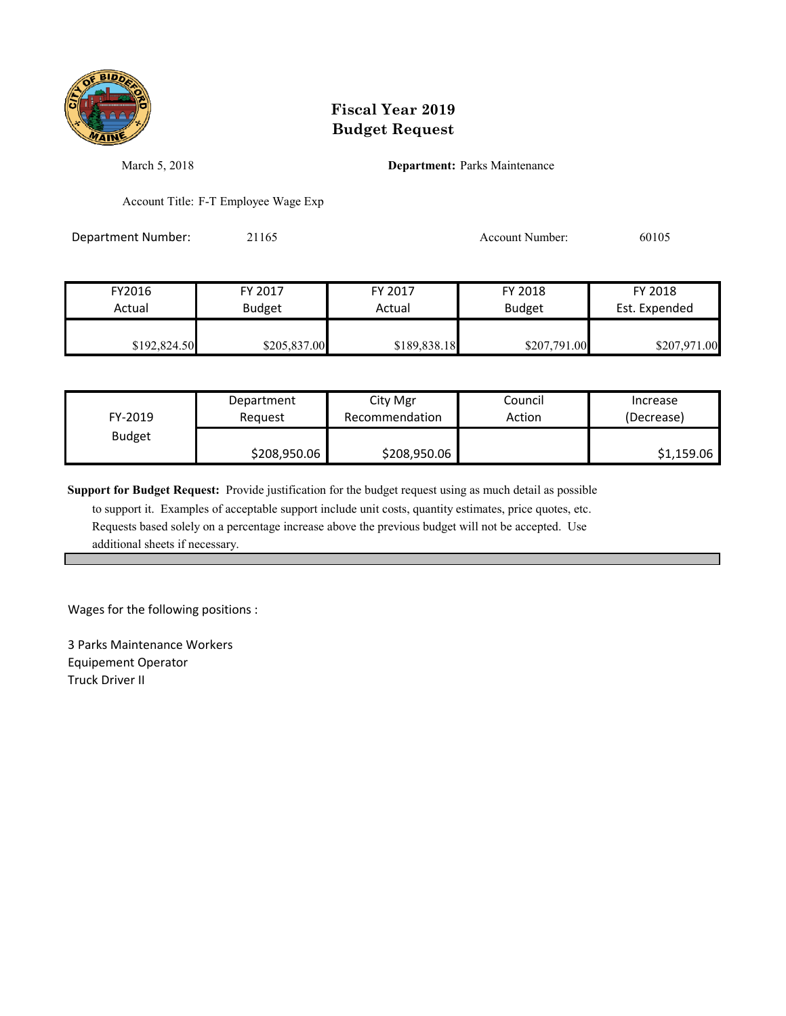

March 5, 2018 **Department:** Parks Maintenance

Account Title: F-T Employee Wage Exp

Department Number: 21165 Account Number: 60105

| FY2016       | FY 2017       | FY 2017      | FY 2018       | FY 2018       |
|--------------|---------------|--------------|---------------|---------------|
| Actual       | <b>Budget</b> | Actual       | <b>Budget</b> | Est. Expended |
| \$192,824.50 | \$205,837.00  | \$189,838.18 | \$207,791.00  | \$207,971.00  |

| FY-2019       | Department   | City Mgr       | Council | Increase   |
|---------------|--------------|----------------|---------|------------|
|               | Reauest      | Recommendation | Action  | (Decrease) |
| <b>Budget</b> | \$208,950.06 | \$208,950.06   |         | \$1,159.06 |

**Support for Budget Request:** Provide justification for the budget request using as much detail as possible

 to support it. Examples of acceptable support include unit costs, quantity estimates, price quotes, etc. Requests based solely on a percentage increase above the previous budget will not be accepted. Use additional sheets if necessary.

Wages for the following positions :

3 Parks Maintenance Workers Equipement Operator Truck Driver II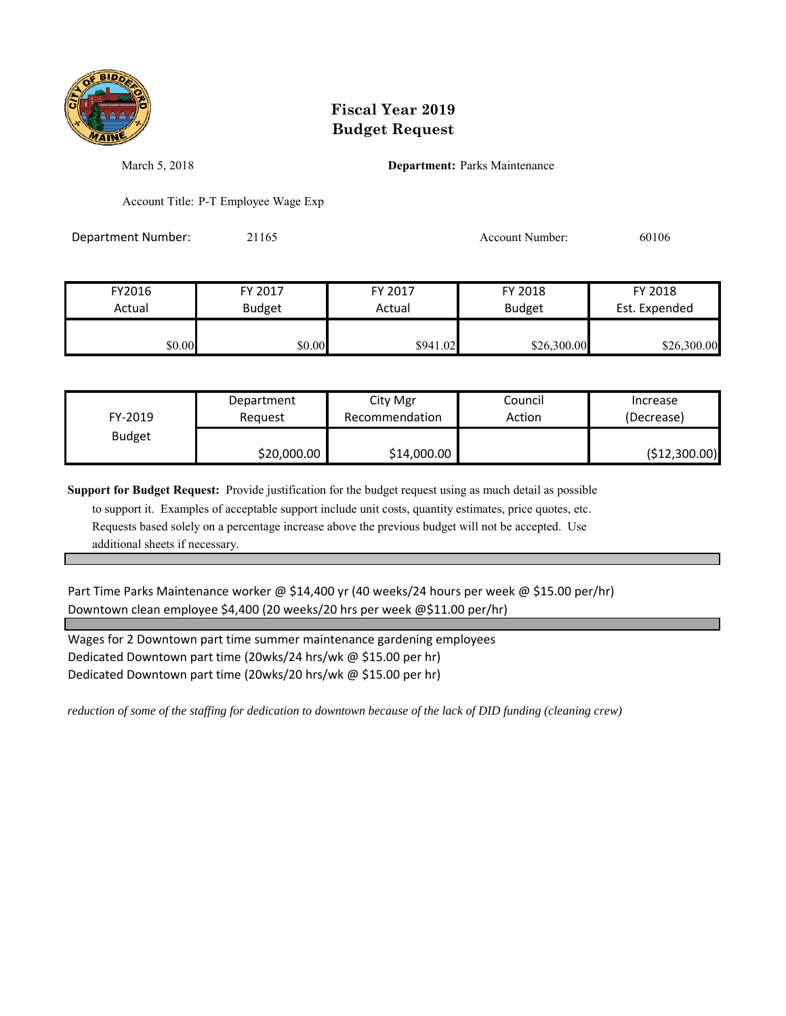

March 5, 2018 **Department:** Parks Maintenance

Account Title: P-T Employee Wage Exp

Department Number: 21165 Account Number: 60106

| FY2016 | FY 2017       | FY 2017  | FY 2018       | FY 2018       |
|--------|---------------|----------|---------------|---------------|
| Actual | <b>Budget</b> | Actual   | <b>Budget</b> | Est. Expended |
|        |               |          |               |               |
| \$0.00 | \$0.00        | \$941.02 | \$26,300.00   | \$26,300.00   |

| FY-2019       | Department  | City Mgr       | Council | Increase      |
|---------------|-------------|----------------|---------|---------------|
|               | Reauest     | Recommendation | Action  | (Decrease)    |
| <b>Budget</b> | \$20,000.00 | \$14,000.00    |         | (\$12,300.00) |

**Support for Budget Request:** Provide justification for the budget request using as much detail as possible

 to support it. Examples of acceptable support include unit costs, quantity estimates, price quotes, etc. Requests based solely on a percentage increase above the previous budget will not be accepted. Use additional sheets if necessary.

Part Time Parks Maintenance worker @ \$14,400 yr (40 weeks/24 hours per week @ \$15.00 per/hr) Downtown clean employee \$4,400 (20 weeks/20 hrs per week @\$11.00 per/hr)

Dedicated Downtown part time (20wks/20 hrs/wk @ \$15.00 per hr) Wages for 2 Downtown part time summer maintenance gardening employees Dedicated Downtown part time (20wks/24 hrs/wk @ \$15.00 per hr)

*reduction of some of the staffing for dedication to downtown because of the lack of DID funding (cleaning crew)*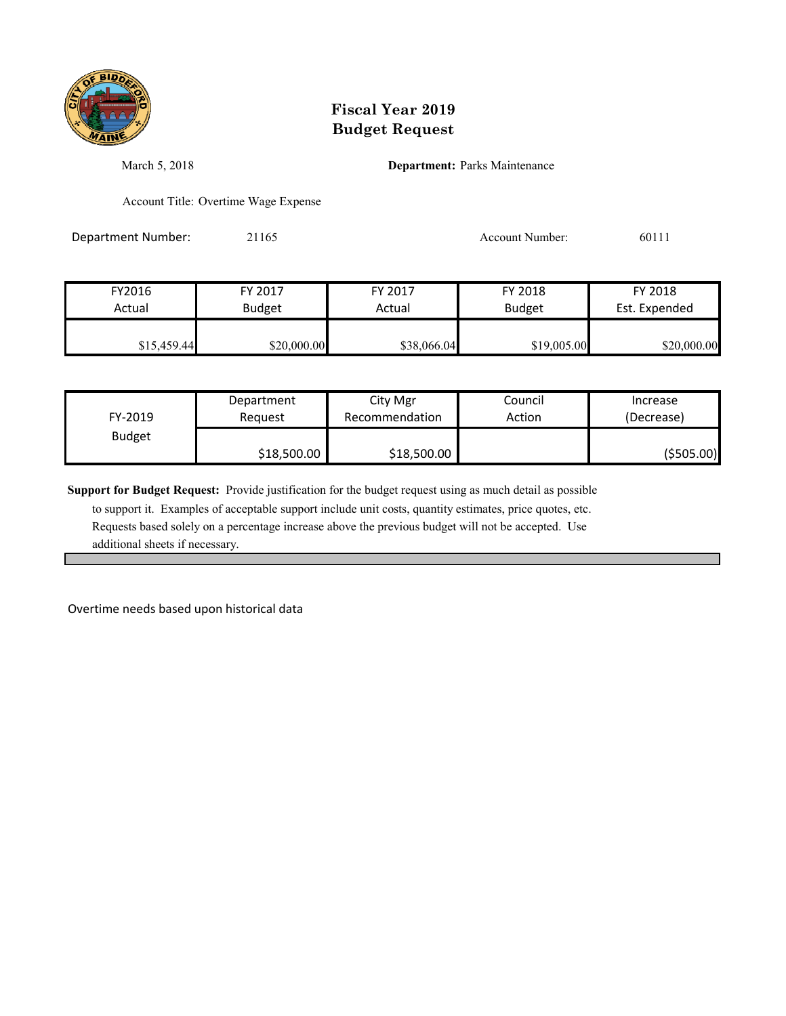

March 5, 2018 **Department:** Parks Maintenance

Account Title: Overtime Wage Expense

Department Number: 21165 21165 Account Number: 60111

| FY2016      | FY 2017       | FY 2017     | FY 2018       | FY 2018       |
|-------------|---------------|-------------|---------------|---------------|
| Actual      | <b>Budget</b> | Actual      | <b>Budget</b> | Est. Expended |
| \$15,459.44 | \$20,000.00   | \$38,066.04 | \$19,005.00   | \$20,000.00   |

| FY-2019       | Department  | City Mgr       | Council | Increase    |
|---------------|-------------|----------------|---------|-------------|
|               | Reauest     | Recommendation | Action  | (Decrease)  |
| <b>Budget</b> | \$18,500.00 | \$18,500.00    |         | ( \$505.00) |

**Support for Budget Request:** Provide justification for the budget request using as much detail as possible

 to support it. Examples of acceptable support include unit costs, quantity estimates, price quotes, etc. Requests based solely on a percentage increase above the previous budget will not be accepted. Use additional sheets if necessary.

Overtime needs based upon historical data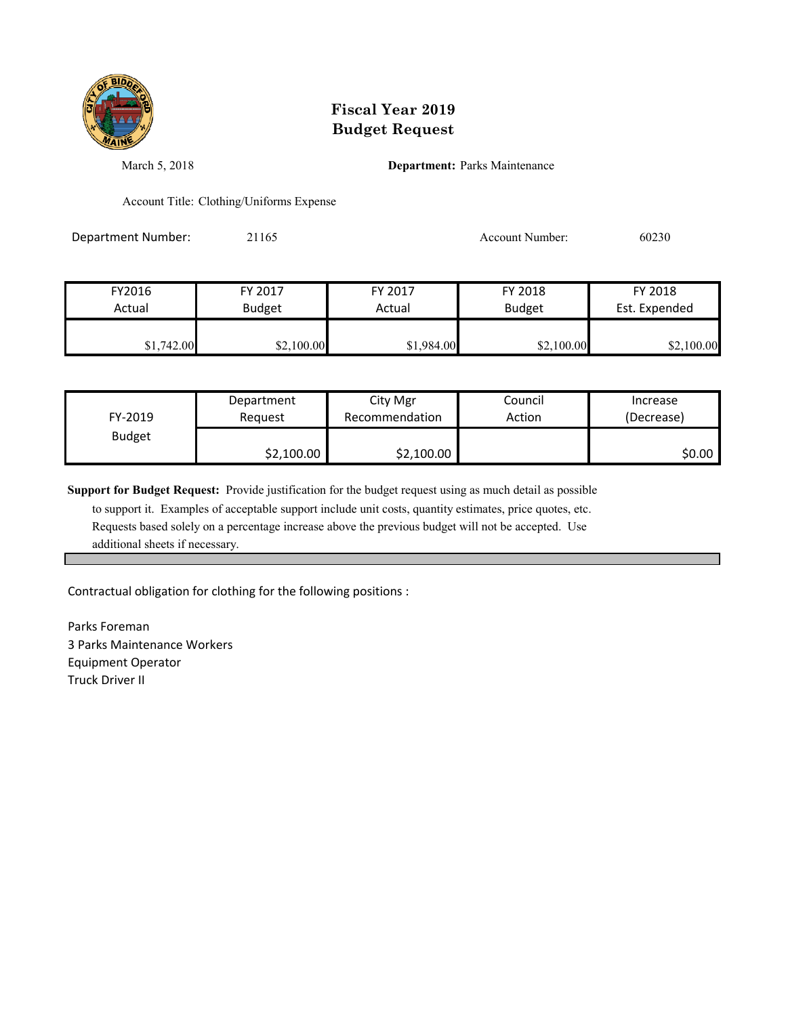

March 5, 2018 **Department:** Parks Maintenance

Account Title: Clothing/Uniforms Expense

Department Number: 21165 Account Number: 60230

| FY2016     | FY 2017       | FY 2017    | FY 2018       | FY 2018       |
|------------|---------------|------------|---------------|---------------|
| Actual     | <b>Budget</b> | Actual     | <b>Budget</b> | Est. Expended |
|            |               |            |               |               |
| \$1,742.00 | \$2,100.00    | \$1,984.00 | \$2,100.00    | \$2,100.00    |

| FY-2019       | Department | City Mgr       | Council | Increase   |
|---------------|------------|----------------|---------|------------|
|               | Request    | Recommendation | Action  | (Decrease) |
| <b>Budget</b> | \$2,100.00 | \$2,100.00     |         | \$0.00     |

**Support for Budget Request:** Provide justification for the budget request using as much detail as possible

 to support it. Examples of acceptable support include unit costs, quantity estimates, price quotes, etc. Requests based solely on a percentage increase above the previous budget will not be accepted. Use additional sheets if necessary.

Contractual obligation for clothing for the following positions :

Parks Foreman 3 Parks Maintenance Workers Equipment Operator Truck Driver II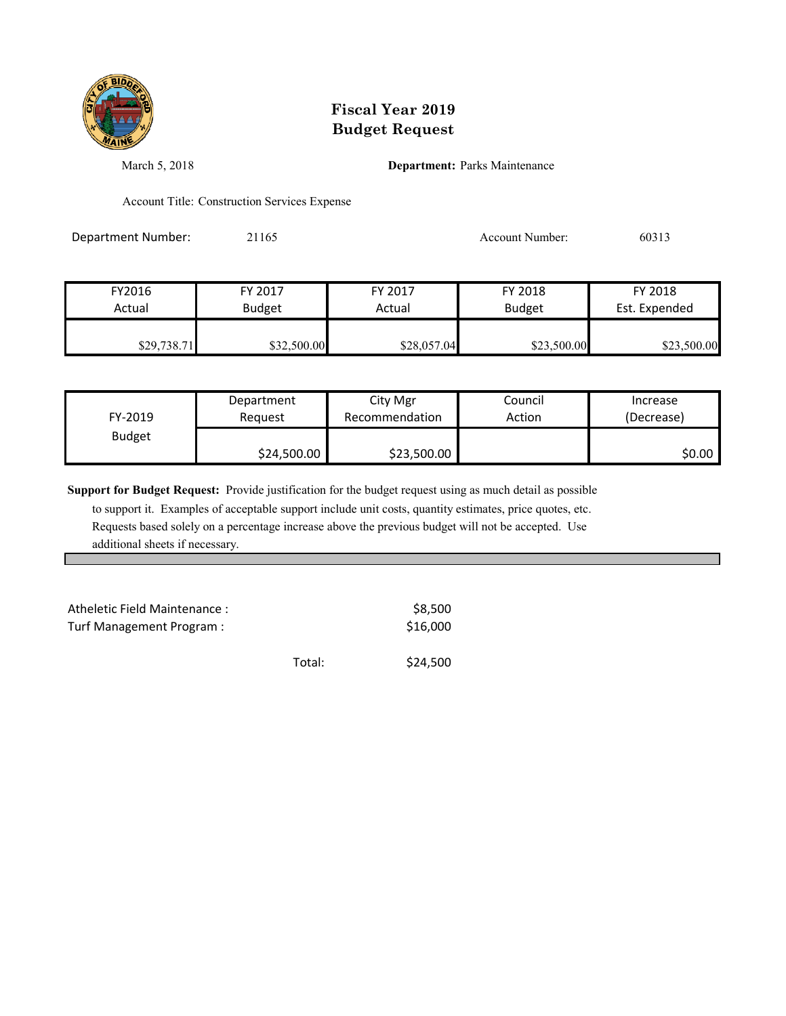

March 5, 2018 **Department:** Parks Maintenance

Account Title: Construction Services Expense

Department Number: 21165 21165 Account Number: 60313

| FY2016      | FY 2017       | FY 2017     | FY 2018       | FY 2018       |
|-------------|---------------|-------------|---------------|---------------|
| Actual      | <b>Budget</b> | Actual      | <b>Budget</b> | Est. Expended |
| \$29,738.71 | \$32,500.00   | \$28,057.04 | \$23,500.00   | \$23,500.00   |

| FY-2019       | Department  | City Mgr       | Council | Increase   |
|---------------|-------------|----------------|---------|------------|
|               | Request     | Recommendation | Action  | (Decrease) |
| <b>Budget</b> | \$24,500.00 | \$23,500.00    |         | \$0.00     |

**Support for Budget Request:** Provide justification for the budget request using as much detail as possible

| Atheletic Field Maintenance:<br>Turf Management Program: |        | \$8.500<br>\$16,000 |
|----------------------------------------------------------|--------|---------------------|
|                                                          | Total: | \$24,500            |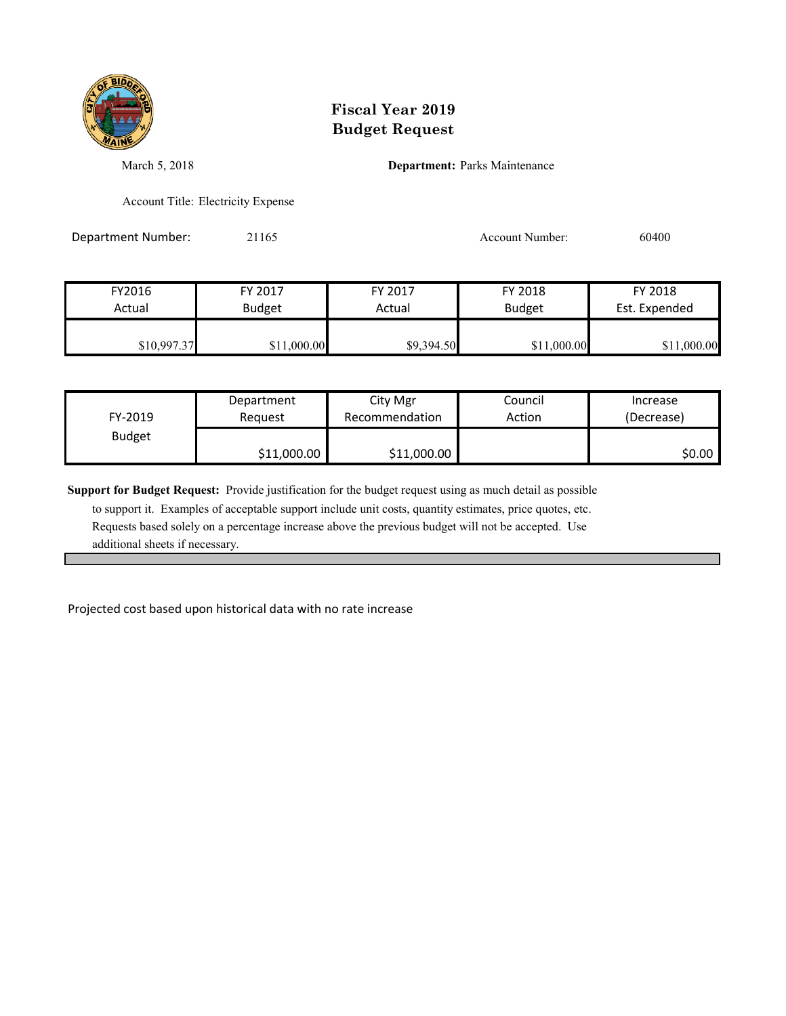

March 5, 2018 **Department:** Parks Maintenance

Account Title: Electricity Expense

Department Number: 21165 21165 Account Number: 60400

| FY2016      | FY 2017       | FY 2017    | FY 2018       | FY 2018       |
|-------------|---------------|------------|---------------|---------------|
| Actual      | <b>Budget</b> | Actual     | <b>Budget</b> | Est. Expended |
| \$10,997.37 | \$11,000.00   | \$9,394.50 | \$11,000.00   | \$11,000.00   |

| FY-2019       | Department  | City Mgr       | Council | Increase   |
|---------------|-------------|----------------|---------|------------|
|               | Reauest     | Recommendation | Action  | (Decrease) |
| <b>Budget</b> | \$11,000.00 | \$11,000.00    |         | \$0.00     |

**Support for Budget Request:** Provide justification for the budget request using as much detail as possible

 to support it. Examples of acceptable support include unit costs, quantity estimates, price quotes, etc. Requests based solely on a percentage increase above the previous budget will not be accepted. Use additional sheets if necessary.

Projected cost based upon historical data with no rate increase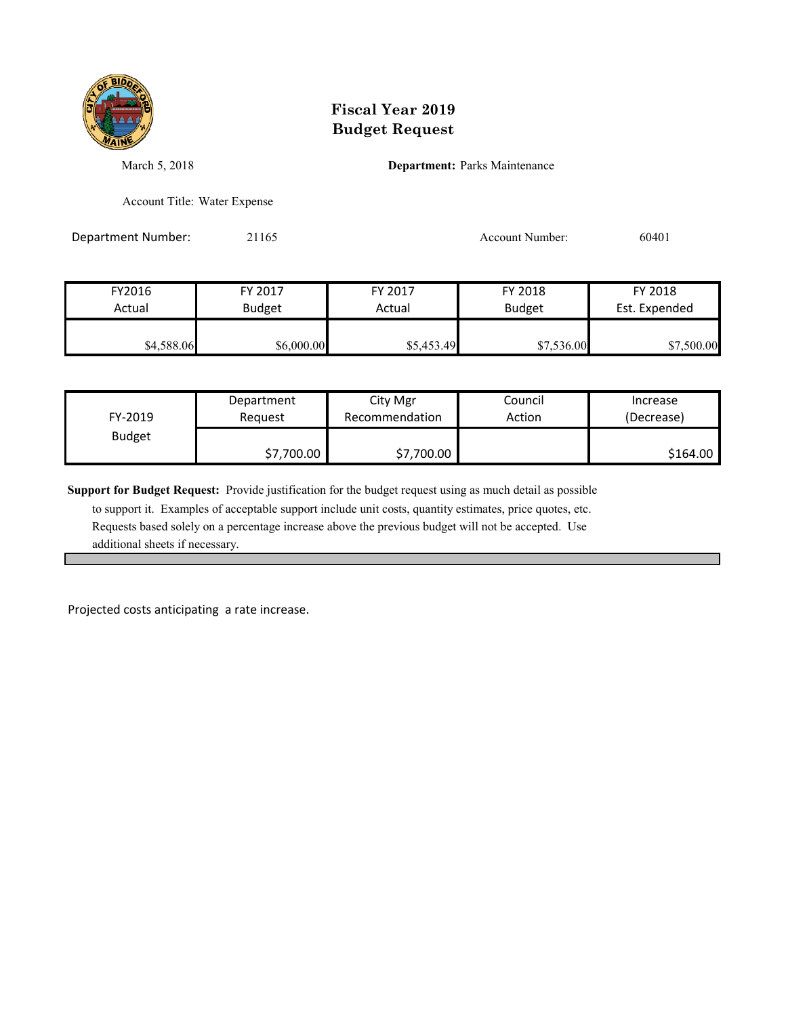

March 5, 2018 **Department:** Parks Maintenance

Account Title: Water Expense

Department Number: 21165 2001 2016 Account Number: 60401

| FY2016     | FY 2017       | FY 2017    | FY 2018       | FY 2018       |
|------------|---------------|------------|---------------|---------------|
| Actual     | <b>Budget</b> | Actual     | <b>Budget</b> | Est. Expended |
| \$4,588.06 | \$6,000.00    | \$5,453.49 | \$7,536.00    | \$7,500.00    |

| FY-2019       | Department | City Mgr       | Council | Increase   |
|---------------|------------|----------------|---------|------------|
|               | Reauest    | Recommendation | Action  | (Decrease) |
| <b>Budget</b> | \$7,700.00 | \$7,700.00     |         | \$164.00   |

**Support for Budget Request:** Provide justification for the budget request using as much detail as possible

 to support it. Examples of acceptable support include unit costs, quantity estimates, price quotes, etc. Requests based solely on a percentage increase above the previous budget will not be accepted. Use additional sheets if necessary.

Projected costs anticipating a rate increase.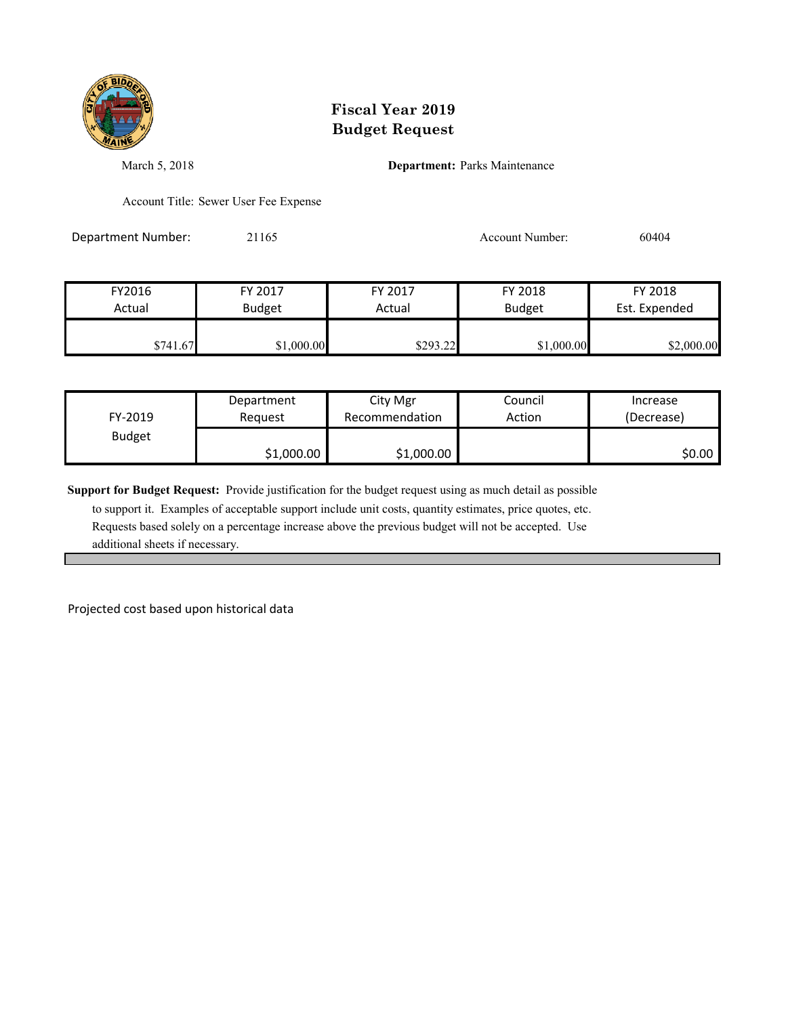

March 5, 2018 **Department:** Parks Maintenance

Account Title: Sewer User Fee Expense

Department Number: 21165 Account Number: 60404

| FY2016   | FY 2017       | FY 2017  | FY 2018       | FY 2018       |
|----------|---------------|----------|---------------|---------------|
| Actual   | <b>Budget</b> | Actual   | <b>Budget</b> | Est. Expended |
| \$741.67 | \$1,000.00    | \$293.22 | \$1,000.00    | \$2,000.00    |

| FY-2019       | Department | City Mgr       | Council | Increase   |
|---------------|------------|----------------|---------|------------|
|               | Reauest    | Recommendation | Action  | (Decrease) |
| <b>Budget</b> | \$1,000.00 | \$1,000.00     |         | S0.00 I    |

**Support for Budget Request:** Provide justification for the budget request using as much detail as possible

 to support it. Examples of acceptable support include unit costs, quantity estimates, price quotes, etc. Requests based solely on a percentage increase above the previous budget will not be accepted. Use additional sheets if necessary.

Projected cost based upon historical data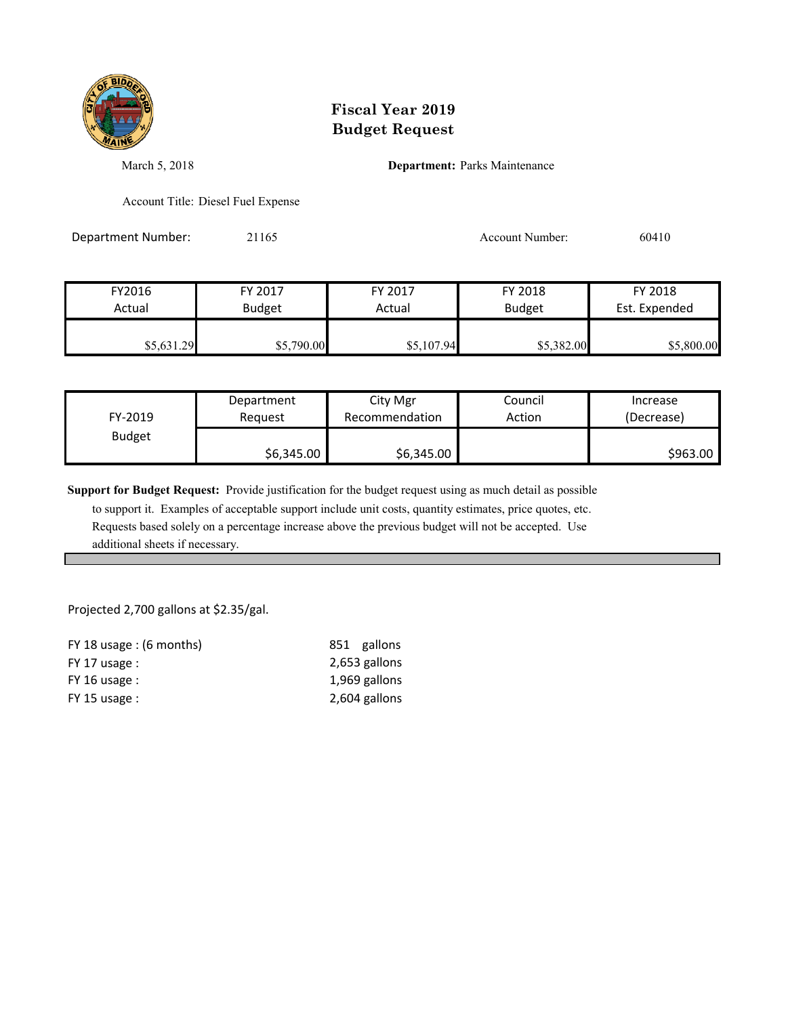

March 5, 2018 **Department:** Parks Maintenance

Account Title: Diesel Fuel Expense

Department Number: 21165 21165 Account Number: 60410

| FY2016     | FY 2017       | FY 2017    | FY 2018       | FY 2018       |
|------------|---------------|------------|---------------|---------------|
| Actual     | <b>Budget</b> | Actual     | <b>Budget</b> | Est. Expended |
| \$5,631.29 | \$5,790.00    | \$5,107.94 | \$5,382.00    | \$5,800.00    |

| FY-2019       | Department | City Mgr       | Council | Increase   |
|---------------|------------|----------------|---------|------------|
|               | Reauest    | Recommendation | Action  | (Decrease) |
| <b>Budget</b> | \$6,345.00 | \$6,345.00     |         | \$963.00   |

**Support for Budget Request:** Provide justification for the budget request using as much detail as possible

 to support it. Examples of acceptable support include unit costs, quantity estimates, price quotes, etc. Requests based solely on a percentage increase above the previous budget will not be accepted. Use additional sheets if necessary.

Projected 2,700 gallons at \$2.35/gal.

| FY 18 usage : $(6$ months) | 851 gallons   |
|----------------------------|---------------|
| $FY$ 17 usage :            | 2,653 gallons |
| $FY$ 16 usage :            | 1,969 gallons |
| $FY$ 15 usage :            | 2,604 gallons |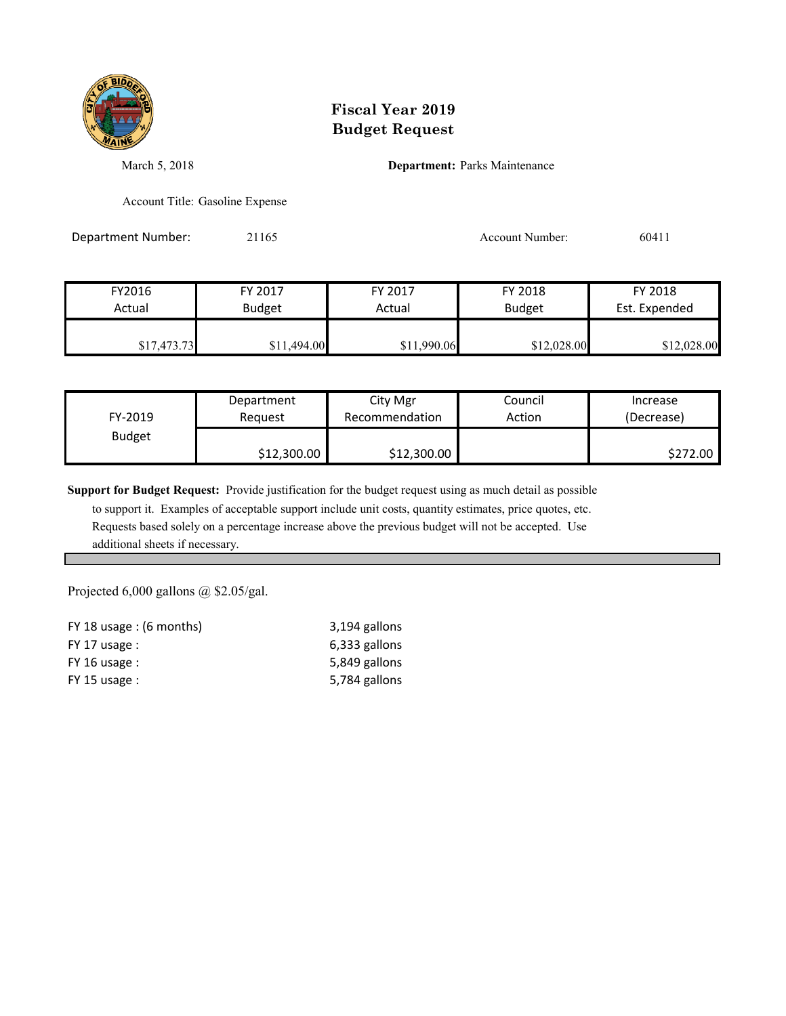

March 5, 2018 **Department:** Parks Maintenance

Account Title: Gasoline Expense

Department Number: 21165 21165 Account Number: 60411

| FY2016      | FY 2017       | FY 2017     | FY 2018       | FY 2018       |
|-------------|---------------|-------------|---------------|---------------|
| Actual      | <b>Budget</b> | Actual      | <b>Budget</b> | Est. Expended |
| \$17,473.73 | \$11,494.00   | \$11,990.06 | \$12,028.00   | \$12,028.00   |

| FY-2019       | Department  | City Mgr       | Council | Increase   |
|---------------|-------------|----------------|---------|------------|
|               | Reauest     | Recommendation | Action  | (Decrease) |
| <b>Budget</b> | \$12,300.00 | \$12,300.00    |         | \$272.00   |

**Support for Budget Request:** Provide justification for the budget request using as much detail as possible

 to support it. Examples of acceptable support include unit costs, quantity estimates, price quotes, etc. Requests based solely on a percentage increase above the previous budget will not be accepted. Use additional sheets if necessary.

Projected 6,000 gallons @ \$2.05/gal.

| FY 18 usage : $(6$ months) | 3,194 gallons |
|----------------------------|---------------|
| $FY$ 17 usage :            | 6,333 gallons |
| $FY$ 16 usage :            | 5,849 gallons |
| $FY$ 15 usage :            | 5,784 gallons |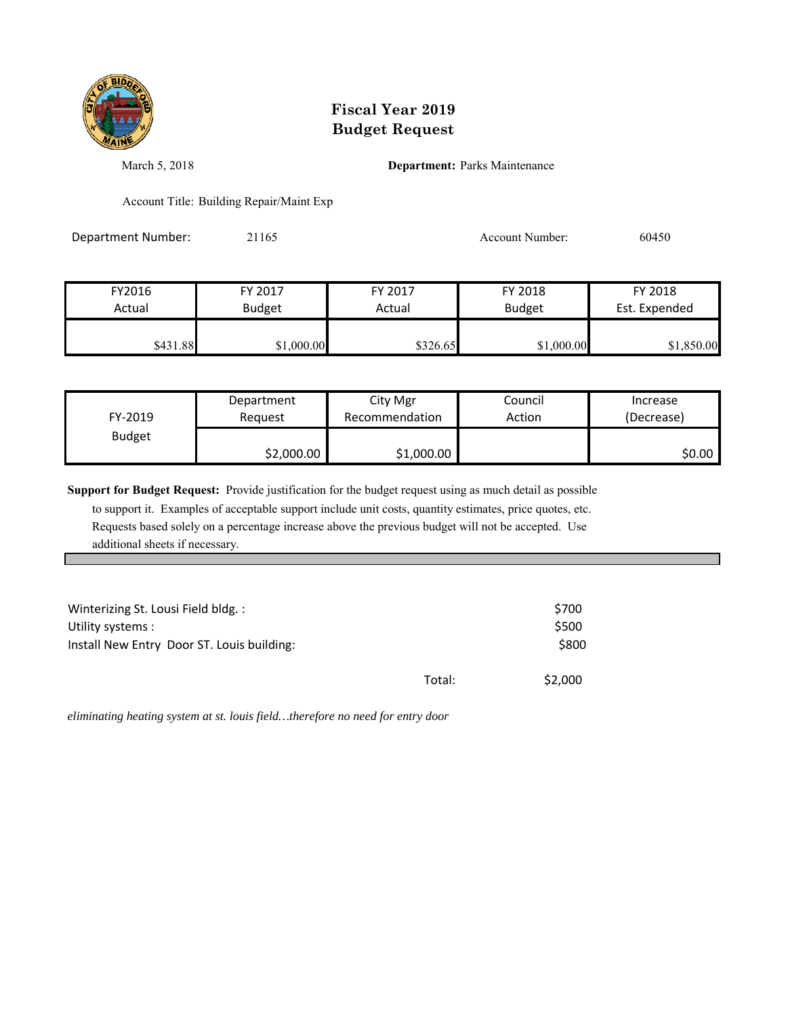

March 5, 2018 **Department:** Parks Maintenance

Account Title: Building Repair/Maint Exp

Department Number: 21165 21165 Account Number: 60450

| FY2016   | FY 2017       | FY 2017  | FY 2018       | FY 2018       |
|----------|---------------|----------|---------------|---------------|
| Actual   | <b>Budget</b> | Actual   | <b>Budget</b> | Est. Expended |
| \$431.88 | \$1,000.00    | \$326.65 | \$1,000.00    | \$1,850.00    |

| FY-2019       | Department | City Mgr       | Council | Increase   |
|---------------|------------|----------------|---------|------------|
|               | Reauest    | Recommendation | Action  | (Decrease) |
| <b>Budget</b> | \$2,000.00 | \$1,000.00     |         | \$0.00     |

**Support for Budget Request:** Provide justification for the budget request using as much detail as possible

 to support it. Examples of acceptable support include unit costs, quantity estimates, price quotes, etc. Requests based solely on a percentage increase above the previous budget will not be accepted. Use additional sheets if necessary.

| Winterizing St. Lousi Field bldg.:<br>Utility systems :<br>Install New Entry Door ST. Louis building: |        | \$700<br>\$500<br>\$800 |
|-------------------------------------------------------------------------------------------------------|--------|-------------------------|
|                                                                                                       | Total: | \$2,000                 |

*eliminating heating system at st. louis field…therefore no need for entry door*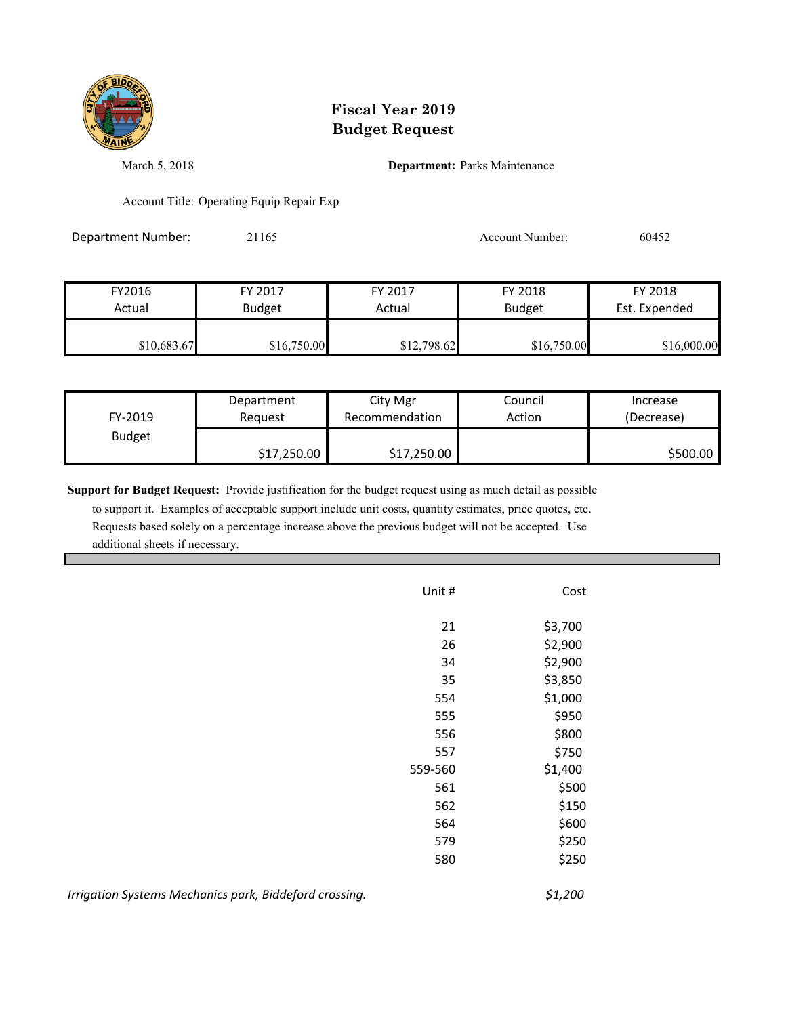

March 5, 2018 **Department:** Parks Maintenance

Account Title: Operating Equip Repair Exp

Department Number: 21165 2006 2016 2016 Account Number: 60452

| FY2016      | FY 2017       | FY 2017     | FY 2018       | FY 2018       |
|-------------|---------------|-------------|---------------|---------------|
| Actual      | <b>Budget</b> | Actual      | <b>Budget</b> | Est. Expended |
|             |               |             |               |               |
| \$10,683.67 | \$16,750.00   | \$12,798.62 | \$16,750.00   | \$16,000.00   |

| FY-2019       | Department  | City Mgr       | Council | Increase   |
|---------------|-------------|----------------|---------|------------|
|               | Reauest     | Recommendation | Action  | (Decrease) |
| <b>Budget</b> | \$17,250.00 | \$17,250.00    |         | \$500.00   |

**Support for Budget Request:** Provide justification for the budget request using as much detail as possible

 to support it. Examples of acceptable support include unit costs, quantity estimates, price quotes, etc. Requests based solely on a percentage increase above the previous budget will not be accepted. Use additional sheets if necessary.

| Unit #  | Cost       |
|---------|------------|
|         |            |
| 21      | \$3,700    |
| 26      | \$2,900    |
| 34      | \$2,900    |
| 35      | \$3,850    |
| 554     | \$1,000    |
| 555     | \$950      |
| 556     | \$800      |
| 557     | \$750      |
| 559-560 | \$1,400    |
| 561     | \$500      |
| 562     | \$150      |
| 564     | \$600      |
| 579     | \$250      |
| 580     | \$250      |
|         |            |
|         | ሖ ብ<br>nno |

*Irrigation Systems Mechanics park, Biddeford crossing. \$1,200*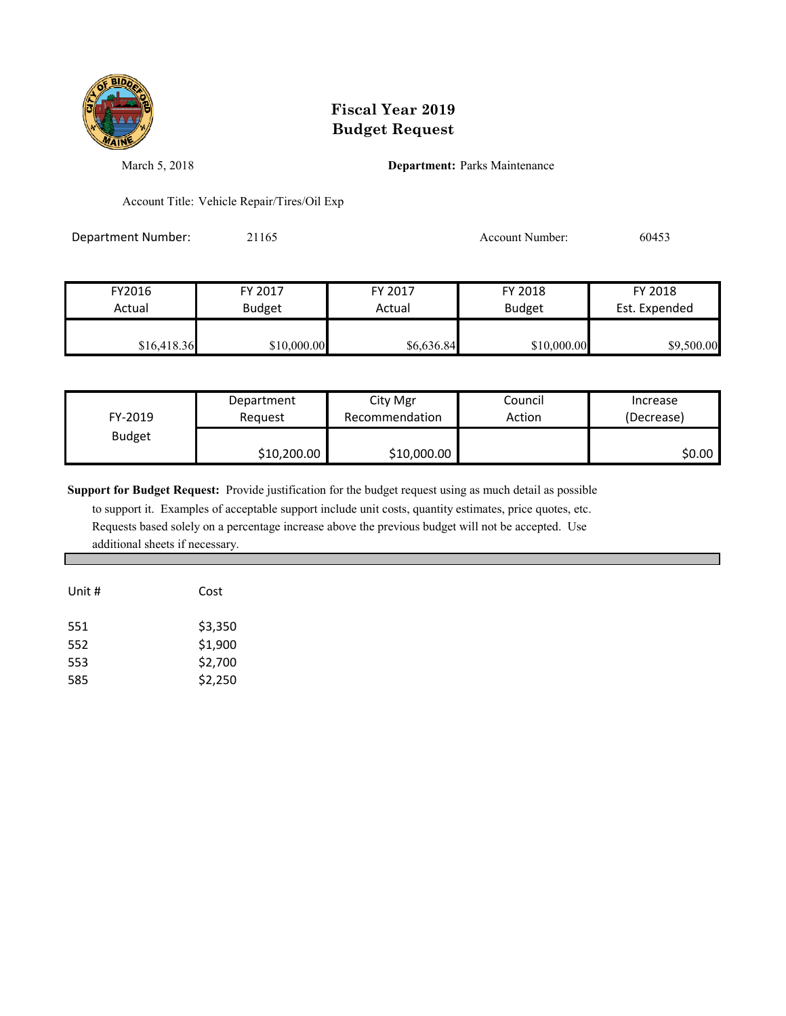

March 5, 2018 **Department:** Parks Maintenance

Account Title: Vehicle Repair/Tires/Oil Exp

Department Number: 21165 21165 Account Number: 60453

| FY2016      | FY 2017       | FY 2017    | FY 2018       | FY 2018       |
|-------------|---------------|------------|---------------|---------------|
| Actual      | <b>Budget</b> | Actual     | <b>Budget</b> | Est. Expended |
| \$16,418.36 | \$10,000.00   | \$6,636.84 | \$10,000.00   | \$9,500.00    |

| FY-2019       | Department  | City Mgr       | Council | Increase   |
|---------------|-------------|----------------|---------|------------|
|               | Reauest     | Recommendation | Action  | (Decrease) |
| <b>Budget</b> | \$10,200.00 | \$10,000.00    |         | S0.00 I    |

**Support for Budget Request:** Provide justification for the budget request using as much detail as possible

| Unit # | Cost    |
|--------|---------|
| 551    | \$3,350 |
| 552    | \$1,900 |
| 553    | \$2,700 |
| 585    | \$2,250 |
|        |         |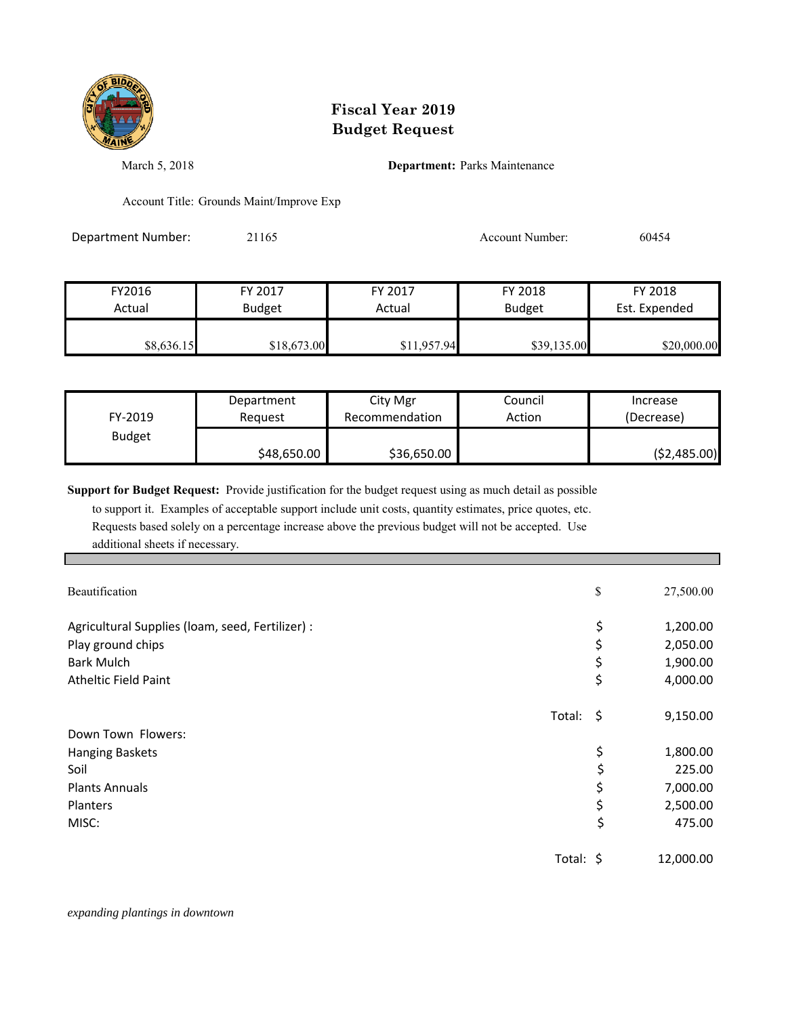

March 5, 2018 **Department:** Parks Maintenance

Account Title: Grounds Maint/Improve Exp

Department Number: 21165 21165 Account Number: 60454

| FY2016     | FY 2017       | FY 2017     | FY 2018       | FY 2018       |
|------------|---------------|-------------|---------------|---------------|
| Actual     | <b>Budget</b> | Actual      | <b>Budget</b> | Est. Expended |
| \$8,636.15 | \$18,673.00   | \$11,957.94 | \$39,135.00   | \$20,000.00   |

| FY-2019       | Department  | City Mgr       | Council | Increase      |
|---------------|-------------|----------------|---------|---------------|
|               | Reauest     | Recommendation | Action  | (Decrease)    |
| <b>Budget</b> | \$48,650.00 | \$36,650.00    |         | ( \$2,485.00) |

**Support for Budget Request:** Provide justification for the budget request using as much detail as possible

| Beautification                                   |                | \$<br>27,500.00 |
|--------------------------------------------------|----------------|-----------------|
| Agricultural Supplies (Ioam, seed, Fertilizer) : |                | \$<br>1,200.00  |
| Play ground chips                                |                | \$<br>2,050.00  |
| <b>Bark Mulch</b>                                |                | \$<br>1,900.00  |
| <b>Atheltic Field Paint</b>                      |                | \$<br>4,000.00  |
|                                                  | Total: $\oint$ | 9,150.00        |
| Down Town Flowers:                               |                |                 |
| <b>Hanging Baskets</b>                           |                | \$<br>1,800.00  |
| Soil                                             |                | \$<br>225.00    |
| <b>Plants Annuals</b>                            |                | 7,000.00        |
| Planters                                         |                | \$<br>2,500.00  |
| MISC:                                            |                | \$<br>475.00    |
|                                                  | Total: \$      | 12,000.00       |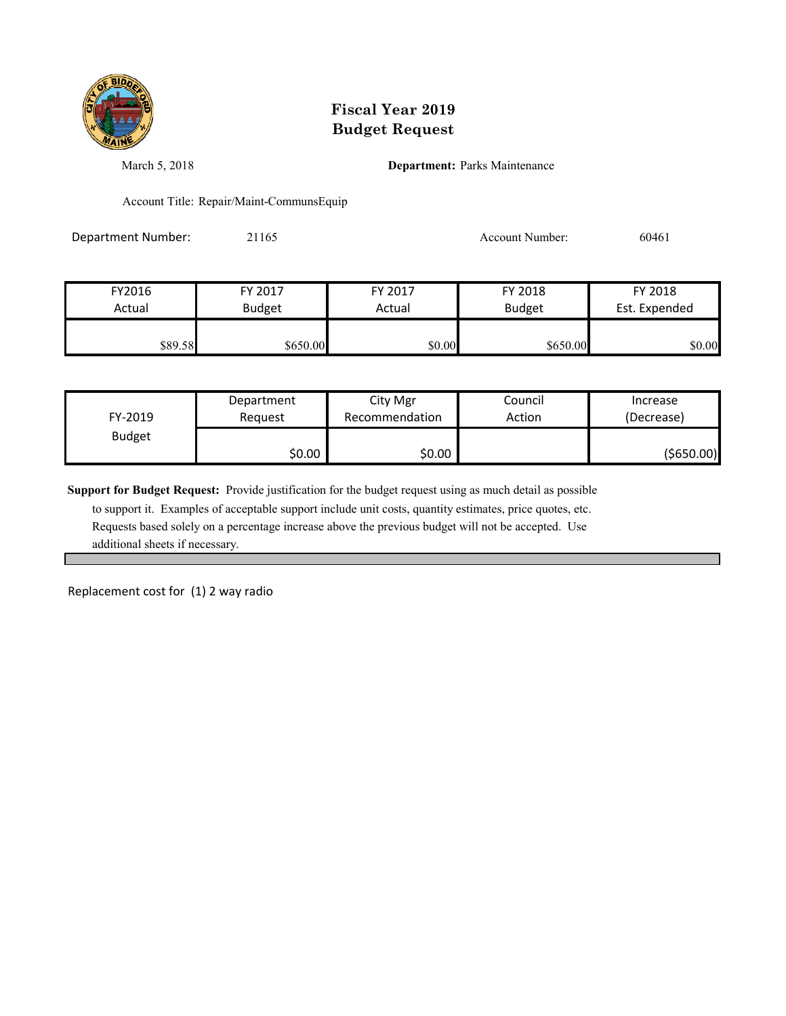

March 5, 2018 **Department:** Parks Maintenance

Account Title: Repair/Maint-CommunsEquip

Department Number: 21165 21165 Account Number: 60461

| FY2016  | FY 2017       | FY 2017 | FY 2018       | FY 2018       |
|---------|---------------|---------|---------------|---------------|
| Actual  | <b>Budget</b> | Actual  | <b>Budget</b> | Est. Expended |
|         |               |         |               |               |
| \$89.58 | \$650.00      | \$0.00  | \$650.00      | \$0.00        |

| FY-2019       | Department | City Mgr       | Council | Increase   |
|---------------|------------|----------------|---------|------------|
|               | Reauest    | Recommendation | Action  | (Decrease) |
| <b>Budget</b> | \$0.00     | \$0.00         |         | (\$650.00) |

**Support for Budget Request:** Provide justification for the budget request using as much detail as possible

 to support it. Examples of acceptable support include unit costs, quantity estimates, price quotes, etc. Requests based solely on a percentage increase above the previous budget will not be accepted. Use additional sheets if necessary.

Replacement cost for (1) 2 way radio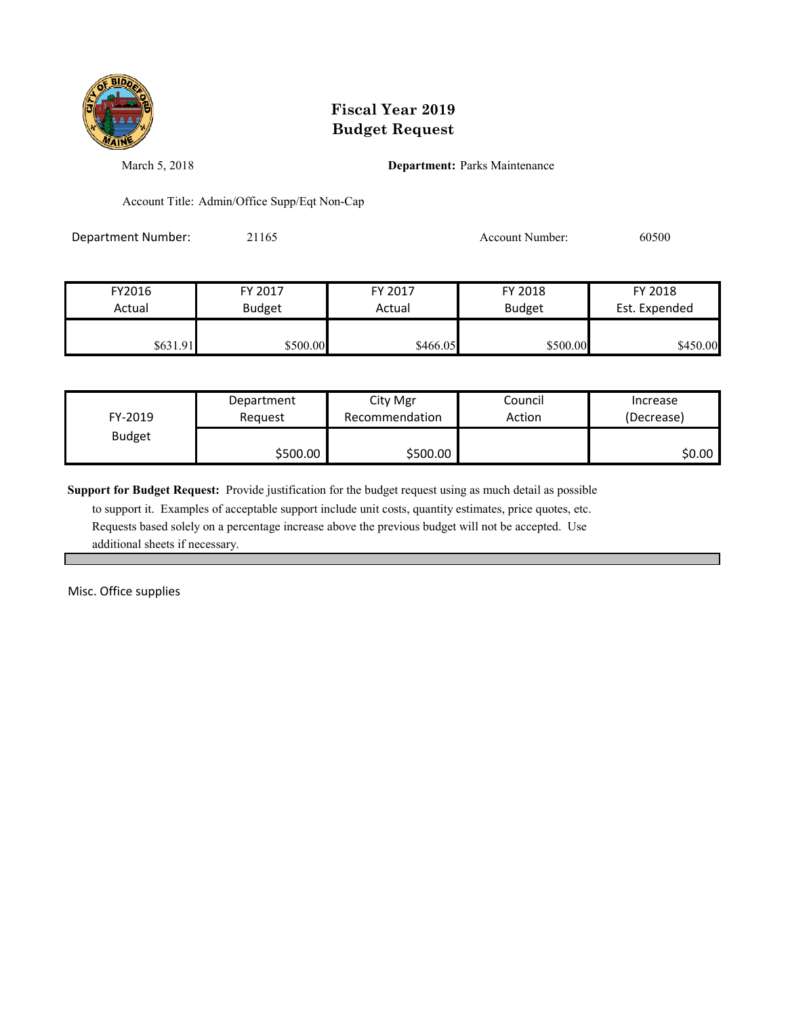

March 5, 2018 **Department:** Parks Maintenance

Account Title: Admin/Office Supp/Eqt Non-Cap

Department Number: 21165 21165 Account Number: 60500

| FY2016   | FY 2017       | FY 2017  | FY 2018       | FY 2018       |
|----------|---------------|----------|---------------|---------------|
| Actual   | <b>Budget</b> | Actual   | <b>Budget</b> | Est. Expended |
|          |               |          |               |               |
| \$631.91 | \$500.00      | \$466.05 | \$500.00      | \$450.00      |

| FY-2019       | Department | City Mgr       | Council | Increase   |
|---------------|------------|----------------|---------|------------|
|               | Reauest    | Recommendation | Action  | (Decrease) |
| <b>Budget</b> | \$500.00   | \$500.00       |         | \$0.00     |

**Support for Budget Request:** Provide justification for the budget request using as much detail as possible

 to support it. Examples of acceptable support include unit costs, quantity estimates, price quotes, etc. Requests based solely on a percentage increase above the previous budget will not be accepted. Use additional sheets if necessary.

Misc. Office supplies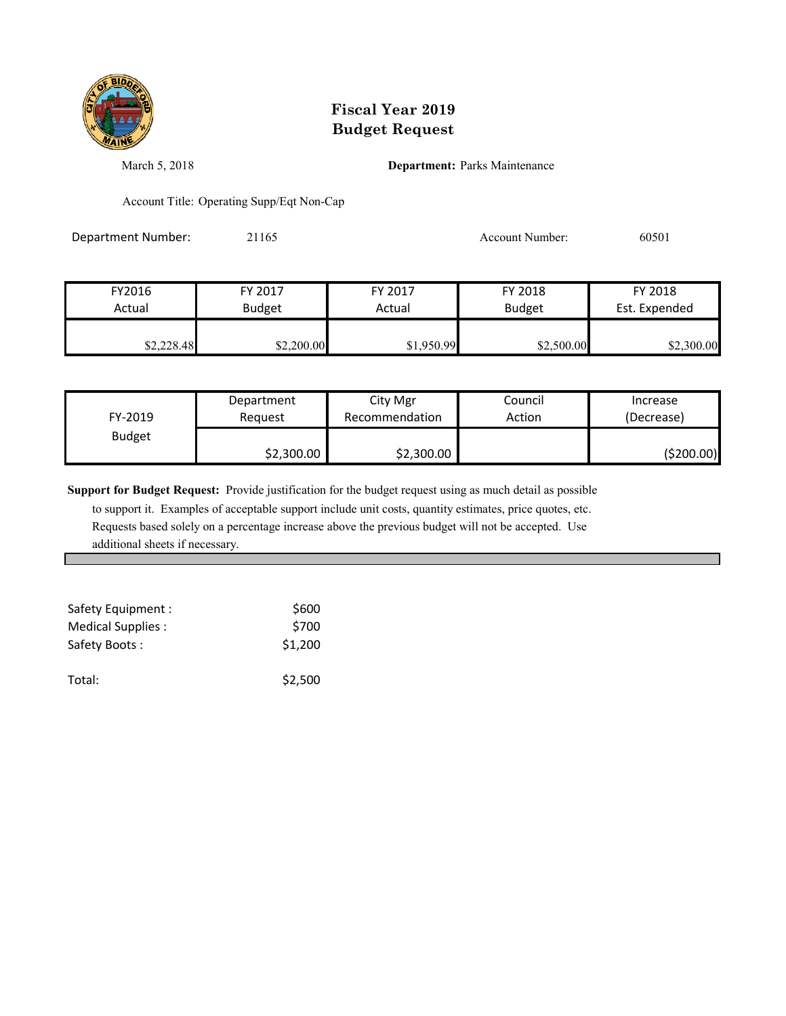

March 5, 2018 **Department:** Parks Maintenance

Account Title: Operating Supp/Eqt Non-Cap

Department Number: 21165 21165 Account Number: 60501

| FY2016<br>Actual | FY 2017       | FY 2017<br>Actual | FY 2018<br><b>Budget</b> | FY 2018<br>Est. Expended |
|------------------|---------------|-------------------|--------------------------|--------------------------|
|                  | <b>Budget</b> |                   |                          |                          |
| \$2,228.48       | \$2,200.00    | \$1,950.99        | \$2,500.00               | \$2,300.00               |

| FY-2019       | Department | City Mgr       | Council | Increase   |
|---------------|------------|----------------|---------|------------|
|               | Reauest    | Recommendation | Action  | (Decrease) |
| <b>Budget</b> | \$2,300.00 | \$2,300.00     |         | (\$200.00) |

**Support for Budget Request:** Provide justification for the budget request using as much detail as possible

| Safety Equipment : | \$600   |
|--------------------|---------|
| Medical Supplies:  | \$700   |
| Safety Boots:      | \$1,200 |
| Total:             | \$2,500 |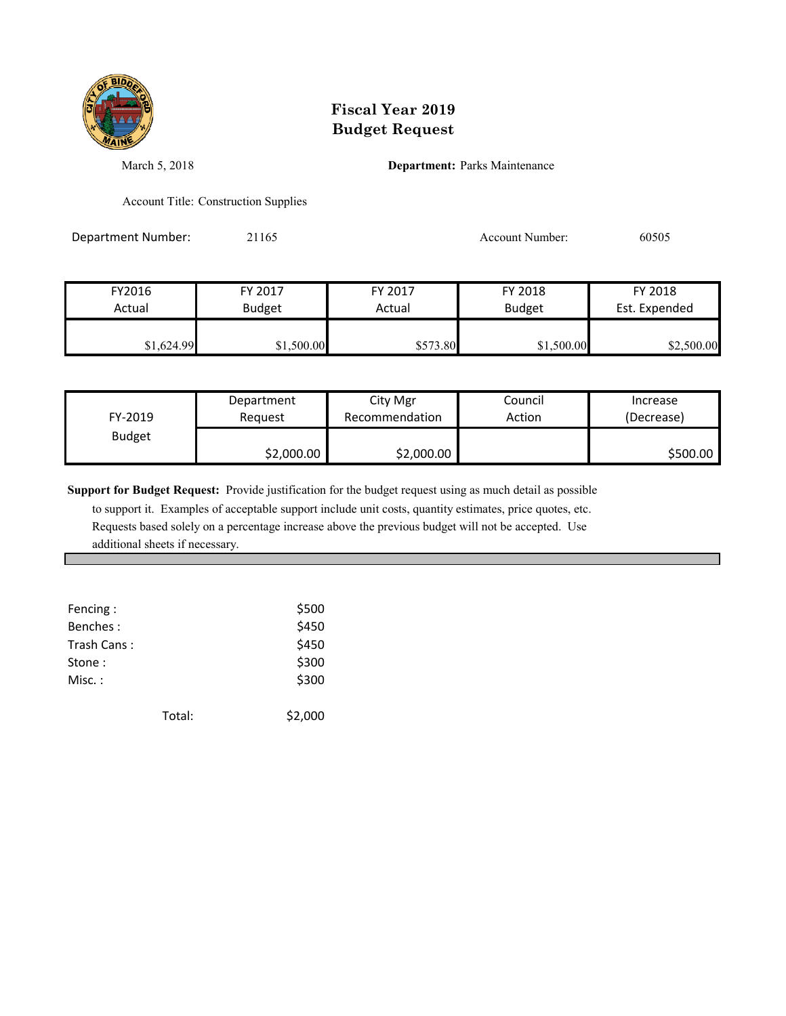

March 5, 2018 **Department:** Parks Maintenance

Account Title: Construction Supplies

Department Number: 21165 21165 Account Number: 60505

| FY2016     | FY 2017       | FY 2017  | FY 2018       | FY 2018       |
|------------|---------------|----------|---------------|---------------|
| Actual     | <b>Budget</b> | Actual   | <b>Budget</b> | Est. Expended |
| \$1,624.99 | \$1,500.00    | \$573.80 | \$1,500.00    | \$2,500.00    |

| FY-2019       | Department | City Mgr       | Council | Increase   |
|---------------|------------|----------------|---------|------------|
|               | Reauest    | Recommendation | Action  | (Decrease) |
| <b>Budget</b> | \$2,000.00 | \$2,000.00     |         | \$500.00   |

**Support for Budget Request:** Provide justification for the budget request using as much detail as possible

| Fencing:    |        | \$500   |
|-------------|--------|---------|
| Benches:    |        | \$450   |
| Trash Cans: |        | \$450   |
| Stone:      |        | \$300   |
| Misc.:      |        | \$300   |
|             |        |         |
|             | Total: | \$2,000 |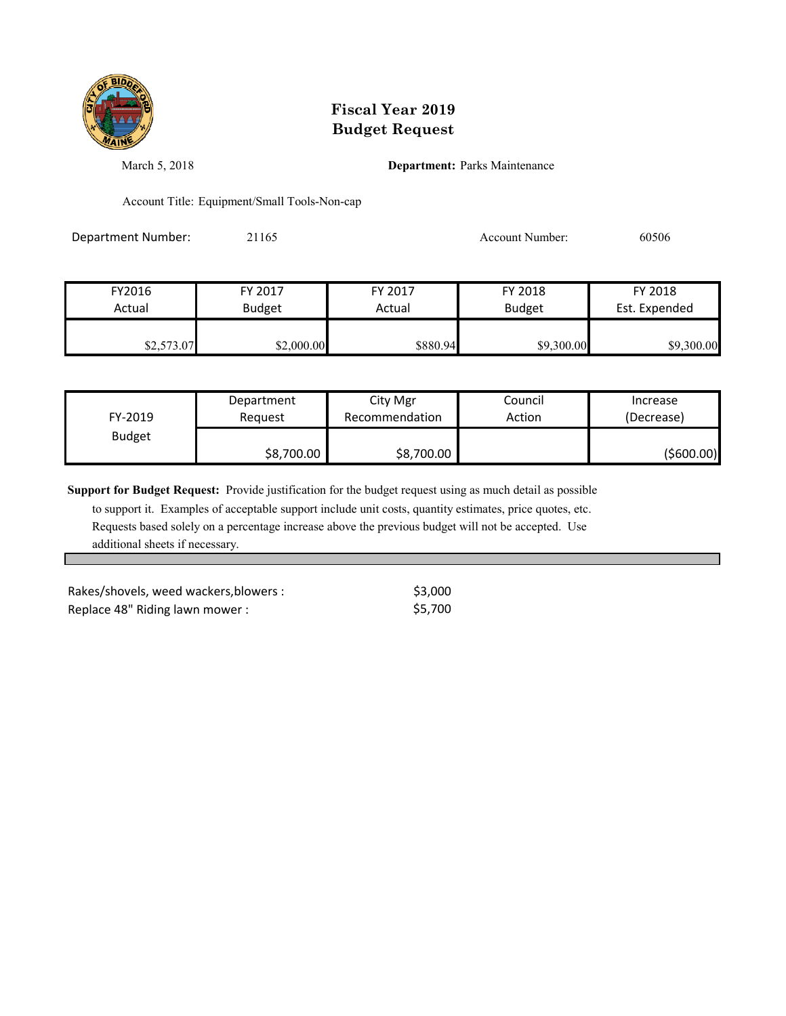

March 5, 2018 **Department:** Parks Maintenance

Account Title: Equipment/Small Tools-Non-cap

Department Number: 21165 21165 Account Number: 60506

| FY2016     | FY 2017       | FY 2017  | FY 2018       | FY 2018       |
|------------|---------------|----------|---------------|---------------|
| Actual     | <b>Budget</b> | Actual   | <b>Budget</b> | Est. Expended |
| \$2,573.07 | \$2,000.00    | \$880.94 | \$9,300.00    | \$9,300.00    |

| FY-2019       | Department | City Mgr       | Council | Increase      |
|---------------|------------|----------------|---------|---------------|
|               | Reauest    | Recommendation | Action  | (Decrease)    |
| <b>Budget</b> | \$8,700.00 | \$8,700.00     |         | $($ \$600.00) |

**Support for Budget Request:** Provide justification for the budget request using as much detail as possible

 to support it. Examples of acceptable support include unit costs, quantity estimates, price quotes, etc. Requests based solely on a percentage increase above the previous budget will not be accepted. Use additional sheets if necessary.

Rakes/shovels, weed wackers, blowers :  $\frac{1}{53,000}$ Replace 48" Riding lawn mower :  $$5,700$